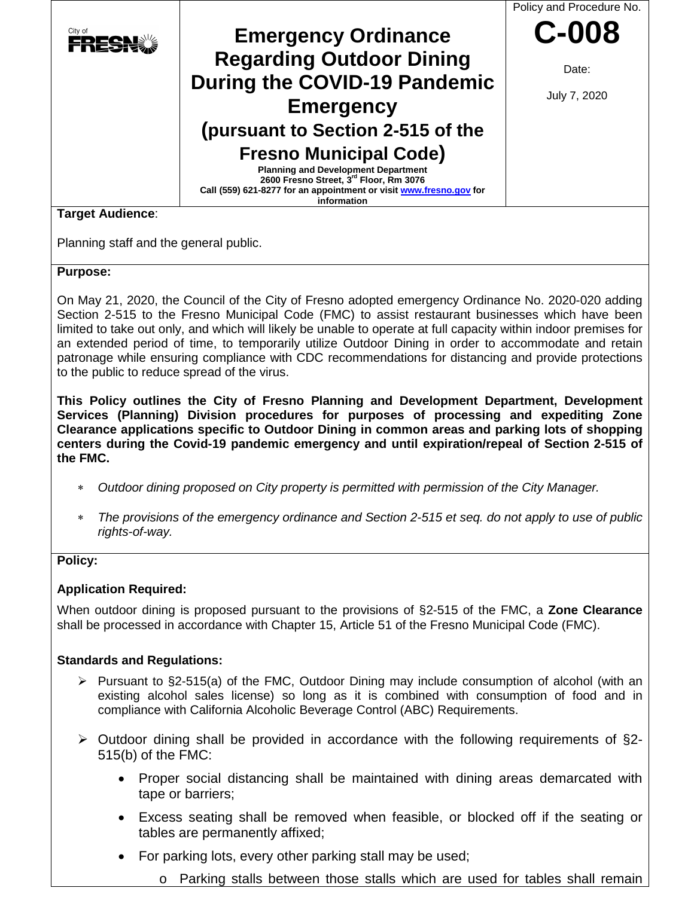

#### **Purpose:**

On May 21, 2020, the Council of the City of Fresno adopted emergency Ordinance No. 2020-020 adding Section 2-515 to the Fresno Municipal Code (FMC) to assist restaurant businesses which have been limited to take out only, and which will likely be unable to operate at full capacity within indoor premises for an extended period of time, to temporarily utilize Outdoor Dining in order to accommodate and retain patronage while ensuring compliance with CDC recommendations for distancing and provide protections to the public to reduce spread of the virus.

**This Policy outlines the City of Fresno Planning and Development Department, Development Services (Planning) Division procedures for purposes of processing and expediting Zone Clearance applications specific to Outdoor Dining in common areas and parking lots of shopping centers during the Covid-19 pandemic emergency and until expiration/repeal of Section 2-515 of the FMC.**

- ∗ *Outdoor dining proposed on City property is permitted with permission of the City Manager.*
- *The provisions of the emergency ordinance and Section 2-515 et seq. do not apply to use of public rights-of-way.*

#### **Policy:**

#### **Application Required:**

When outdoor dining is proposed pursuant to the provisions of §2-515 of the FMC, a **Zone Clearance** shall be processed in accordance with Chapter 15, Article 51 of the Fresno Municipal Code (FMC).

#### **Standards and Regulations:**

- $\triangleright$  Pursuant to §2-515(a) of the FMC, Outdoor Dining may include consumption of alcohol (with an existing alcohol sales license) so long as it is combined with consumption of food and in compliance with California Alcoholic Beverage Control (ABC) Requirements.
- $\triangleright$  Outdoor dining shall be provided in accordance with the following requirements of §2-515(b) of the FMC:
	- Proper social distancing shall be maintained with dining areas demarcated with tape or barriers;
	- Excess seating shall be removed when feasible, or blocked off if the seating or tables are permanently affixed;
	- For parking lots, every other parking stall may be used;
		- o Parking stalls between those stalls which are used for tables shall remain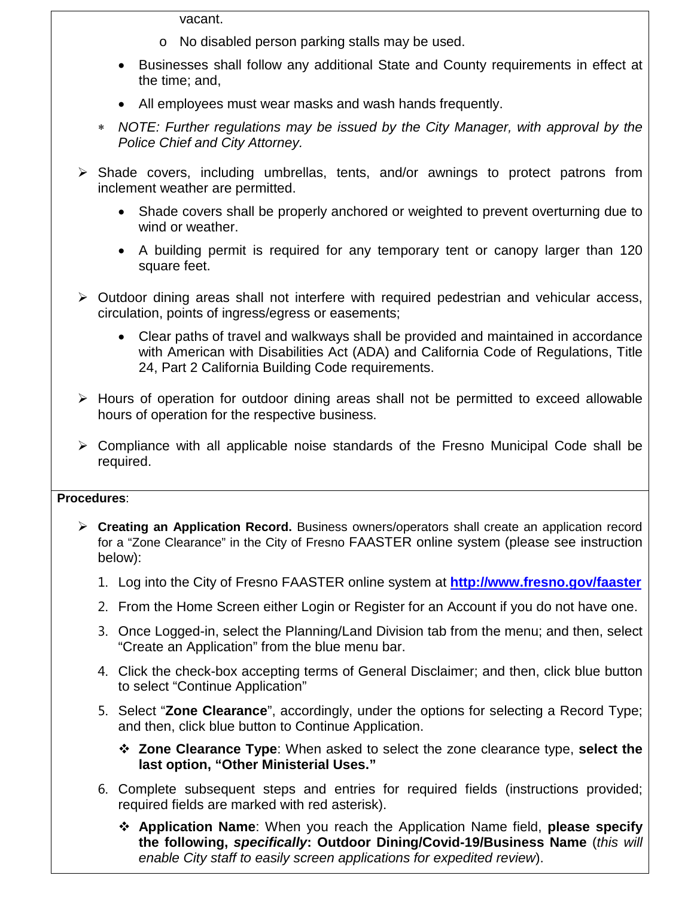vacant.

- o No disabled person parking stalls may be used.
- Businesses shall follow any additional State and County requirements in effect at the time; and,
- All employees must wear masks and wash hands frequently.
- ∗ *NOTE: Further regulations may be issued by the City Manager, with approval by the Police Chief and City Attorney.*
- $\triangleright$  Shade covers, including umbrellas, tents, and/or awnings to protect patrons from inclement weather are permitted.
	- Shade covers shall be properly anchored or weighted to prevent overturning due to wind or weather.
	- A building permit is required for any temporary tent or canopy larger than 120 square feet.
- $\triangleright$  Outdoor dining areas shall not interfere with required pedestrian and vehicular access, circulation, points of ingress/egress or easements;
	- Clear paths of travel and walkways shall be provided and maintained in accordance with American with Disabilities Act (ADA) and California Code of Regulations, Title 24, Part 2 California Building Code requirements.
- $\triangleright$  Hours of operation for outdoor dining areas shall not be permitted to exceed allowable hours of operation for the respective business.
- $\triangleright$  Compliance with all applicable noise standards of the Fresno Municipal Code shall be required.

#### **Procedures**:

- **Creating an Application Record.** Business owners/operators shall create an application record for a "Zone Clearance" in the City of Fresno FAASTER online system (please see instruction below):
	- 1. Log into the City of Fresno FAASTER online system at **<http://www.fresno.gov/faaster>**
	- 2. From the Home Screen either Login or Register for an Account if you do not have one.
	- 3. Once Logged-in, select the Planning/Land Division tab from the menu; and then, select "Create an Application" from the blue menu bar.
	- 4. Click the check-box accepting terms of General Disclaimer; and then, click blue button to select "Continue Application"
	- 5. Select "**Zone Clearance**", accordingly, under the options for selecting a Record Type; and then, click blue button to Continue Application.
		- **Zone Clearance Type**: When asked to select the zone clearance type, **select the last option, "Other Ministerial Uses."**
	- 6. Complete subsequent steps and entries for required fields (instructions provided; required fields are marked with red asterisk).
		- **Application Name**: When you reach the Application Name field, **please specify the following,** *specifically***: Outdoor Dining/Covid-19/Business Name** (*this will enable City staff to easily screen applications for expedited review*).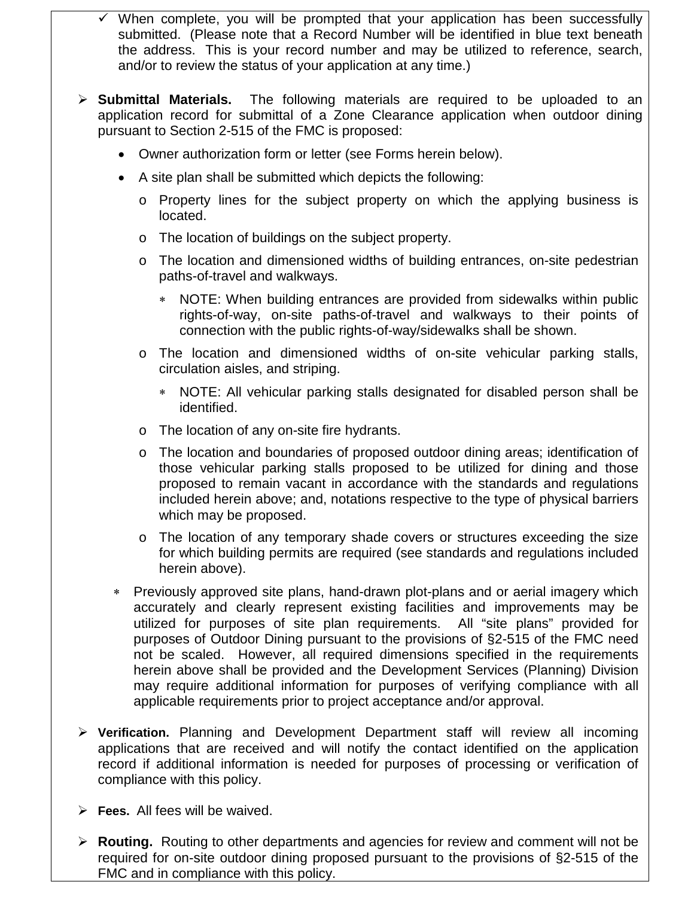- When complete, you will be prompted that your application has been successfully submitted. (Please note that a Record Number will be identified in blue text beneath the address. This is your record number and may be utilized to reference, search, and/or to review the status of your application at any time.)
- **Submittal Materials.** The following materials are required to be uploaded to an application record for submittal of a Zone Clearance application when outdoor dining pursuant to Section 2-515 of the FMC is proposed:
	- Owner authorization form or letter (see Forms herein below).
	- A site plan shall be submitted which depicts the following:
		- o Property lines for the subject property on which the applying business is located.
		- o The location of buildings on the subject property.
		- o The location and dimensioned widths of building entrances, on-site pedestrian paths-of-travel and walkways.
			- ∗ NOTE: When building entrances are provided from sidewalks within public rights-of-way, on-site paths-of-travel and walkways to their points of connection with the public rights-of-way/sidewalks shall be shown.
		- o The location and dimensioned widths of on-site vehicular parking stalls, circulation aisles, and striping.
			- ∗ NOTE: All vehicular parking stalls designated for disabled person shall be identified.
		- o The location of any on-site fire hydrants.
		- o The location and boundaries of proposed outdoor dining areas; identification of those vehicular parking stalls proposed to be utilized for dining and those proposed to remain vacant in accordance with the standards and regulations included herein above; and, notations respective to the type of physical barriers which may be proposed.
		- o The location of any temporary shade covers or structures exceeding the size for which building permits are required (see standards and regulations included herein above).
	- ∗ Previously approved site plans, hand-drawn plot-plans and or aerial imagery which accurately and clearly represent existing facilities and improvements may be utilized for purposes of site plan requirements. All "site plans" provided for purposes of Outdoor Dining pursuant to the provisions of §2-515 of the FMC need not be scaled. However, all required dimensions specified in the requirements herein above shall be provided and the Development Services (Planning) Division may require additional information for purposes of verifying compliance with all applicable requirements prior to project acceptance and/or approval.
- **Verification.** Planning and Development Department staff will review all incoming applications that are received and will notify the contact identified on the application record if additional information is needed for purposes of processing or verification of compliance with this policy.
- **Fees.** All fees will be waived.
- **Routing.** Routing to other departments and agencies for review and comment will not be required for on-site outdoor dining proposed pursuant to the provisions of §2-515 of the FMC and in compliance with this policy.